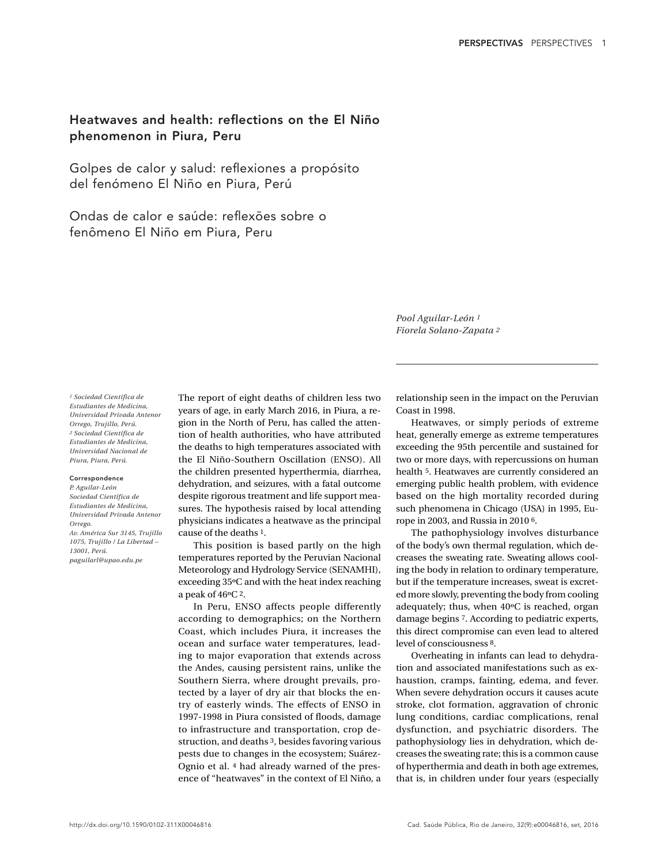## Heatwaves and health: reflections on the El Niño phenomenon in Piura, Peru

Golpes de calor y salud: reflexiones a propósito del fenómeno El Niño en Piura, Perú

Ondas de calor e saúde: reflexões sobre o fenômeno El Niño em Piura, Peru

> *Pool Aguilar-León 1 Fiorela Solano-Zapata 2*

*1 Sociedad Científica de Estudiantes de Medicina, Universidad Privada Antenor Orrego, Trujillo, Perú. 2 Sociedad Científica de Estudiantes de Medicina, Universidad Nacional de Piura, Piura, Perú.*

## Correspondence

*P. Aguilar-León Sociedad Científica de Estudiantes de Medicina, Universidad Privada Antenor Orrego. Av. América Sur 3145, Trujillo 1075, Trujillo / La Libertad – 13001, Perú. paguilarl@upao.edu.pe*

The report of eight deaths of children less two years of age, in early March 2016, in Piura, a region in the North of Peru, has called the attention of health authorities, who have attributed the deaths to high temperatures associated with the El Niño-Southern Oscillation (ENSO). All the children presented hyperthermia, diarrhea, dehydration, and seizures, with a fatal outcome despite rigorous treatment and life support measures. The hypothesis raised by local attending physicians indicates a heatwave as the principal cause of the deaths 1.

This position is based partly on the high temperatures reported by the Peruvian Nacional Meteorology and Hydrology Service (SENAMHI), exceeding 35ºC and with the heat index reaching a peak of 46ºC 2.

In Peru, ENSO affects people differently according to demographics; on the Northern Coast, which includes Piura, it increases the ocean and surface water temperatures, leading to major evaporation that extends across the Andes, causing persistent rains, unlike the Southern Sierra, where drought prevails, protected by a layer of dry air that blocks the entry of easterly winds. The effects of ENSO in 1997-1998 in Piura consisted of floods, damage to infrastructure and transportation, crop destruction, and deaths 3, besides favoring various pests due to changes in the ecosystem; Suárez-Ognio et al. 4 had already warned of the presence of "heatwaves" in the context of El Niño, a

relationship seen in the impact on the Peruvian Coast in 1998.

Heatwaves, or simply periods of extreme heat, generally emerge as extreme temperatures exceeding the 95th percentile and sustained for two or more days, with repercussions on human health 5. Heatwaves are currently considered an emerging public health problem, with evidence based on the high mortality recorded during such phenomena in Chicago (USA) in 1995, Europe in 2003, and Russia in 2010 6.

The pathophysiology involves disturbance of the body's own thermal regulation, which decreases the sweating rate. Sweating allows cooling the body in relation to ordinary temperature, but if the temperature increases, sweat is excreted more slowly, preventing the body from cooling adequately; thus, when 40ºC is reached, organ damage begins 7. According to pediatric experts, this direct compromise can even lead to altered level of consciousness 8.

Overheating in infants can lead to dehydration and associated manifestations such as exhaustion, cramps, fainting, edema, and fever. When severe dehydration occurs it causes acute stroke, clot formation, aggravation of chronic lung conditions, cardiac complications, renal dysfunction, and psychiatric disorders. The pathophysiology lies in dehydration, which decreases the sweating rate; this is a common cause of hyperthermia and death in both age extremes, that is, in children under four years (especially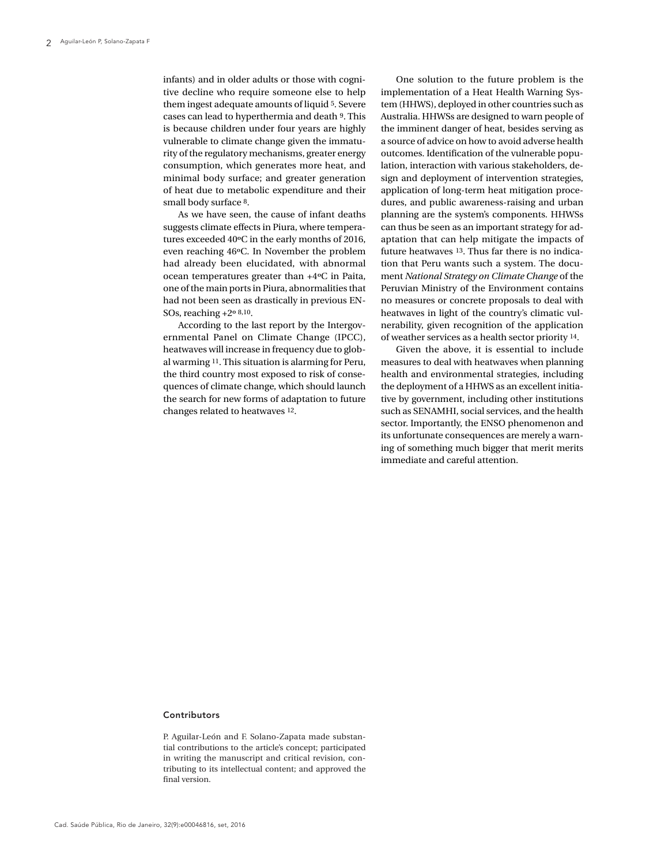infants) and in older adults or those with cognitive decline who require someone else to help them ingest adequate amounts of liquid 5. Severe cases can lead to hyperthermia and death 9. This is because children under four years are highly vulnerable to climate change given the immaturity of the regulatory mechanisms, greater energy consumption, which generates more heat, and minimal body surface; and greater generation of heat due to metabolic expenditure and their small body surface 8.

As we have seen, the cause of infant deaths suggests climate effects in Piura, where temperatures exceeded 40ºC in the early months of 2016, even reaching 46ºC. In November the problem had already been elucidated, with abnormal ocean temperatures greater than +4ºC in Paita, one of the main ports in Piura, abnormalities that had not been seen as drastically in previous EN-SOs, reaching +2º 8,10.

According to the last report by the Intergovernmental Panel on Climate Change (IPCC), heatwaves will increase in frequency due to global warming 11. This situation is alarming for Peru, the third country most exposed to risk of consequences of climate change, which should launch the search for new forms of adaptation to future changes related to heatwaves 12.

One solution to the future problem is the implementation of a Heat Health Warning System (HHWS), deployed in other countries such as Australia. HHWSs are designed to warn people of the imminent danger of heat, besides serving as a source of advice on how to avoid adverse health outcomes. Identification of the vulnerable population, interaction with various stakeholders, design and deployment of intervention strategies, application of long-term heat mitigation procedures, and public awareness-raising and urban planning are the system's components. HHWSs can thus be seen as an important strategy for adaptation that can help mitigate the impacts of future heatwaves 13. Thus far there is no indication that Peru wants such a system. The document *National Strategy on Climate Change* of the Peruvian Ministry of the Environment contains no measures or concrete proposals to deal with heatwaves in light of the country's climatic vulnerability, given recognition of the application of weather services as a health sector priority 14.

Given the above, it is essential to include measures to deal with heatwaves when planning health and environmental strategies, including the deployment of a HHWS as an excellent initiative by government, including other institutions such as SENAMHI, social services, and the health sector. Importantly, the ENSO phenomenon and its unfortunate consequences are merely a warning of something much bigger that merit merits immediate and careful attention.

## Contributors

P. Aguilar-León and F. Solano-Zapata made substantial contributions to the article's concept; participated in writing the manuscript and critical revision, contributing to its intellectual content; and approved the final version.